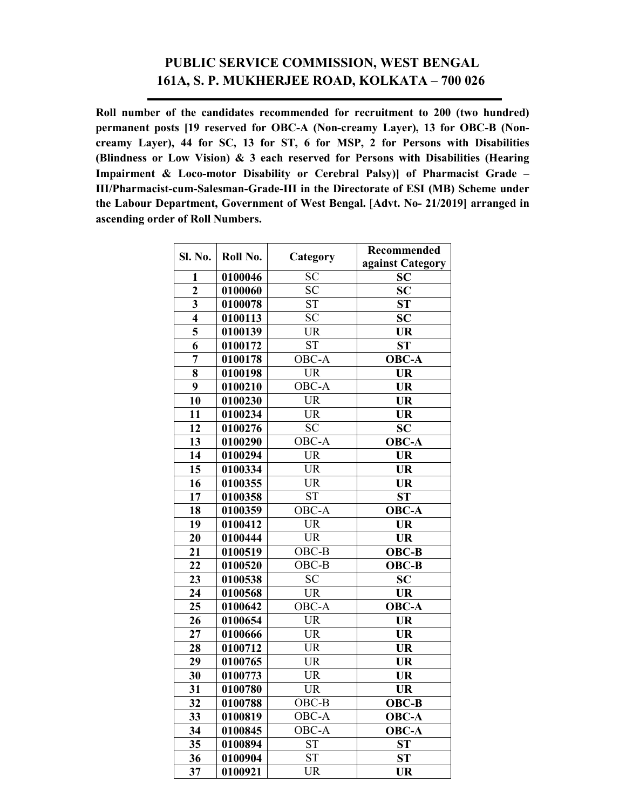## **PUBLIC SERVICE COMMISSION, WEST BENGAL 161A, S. P. MUKHERJEE ROAD, KOLKATA – 700 026**

**Roll number of the candidates recommended for recruitment to 200 (two hundred) permanent posts [19 reserved for OBC-A (Non-creamy Layer), 13 for OBC-B (Noncreamy Layer), 44 for SC, 13 for ST, 6 for MSP, 2 for Persons with Disabilities (Blindness or Low Vision) & 3 each reserved for Persons with Disabilities (Hearing Impairment & Loco-motor Disability or Cerebral Palsy)] of Pharmacist Grade – III/Pharmacist-cum-Salesman-Grade-III in the Directorate of ESI (MB) Scheme under the Labour Department, Government of West Bengal.** [**Advt. No- 21/2019] arranged in ascending order of Roll Numbers.** 

| Sl. No.                 | Roll No. | Category               | Recommended                      |
|-------------------------|----------|------------------------|----------------------------------|
|                         |          |                        | against Category                 |
| $\mathbf{1}$            | 0100046  | <b>SC</b>              | SC                               |
| $\overline{2}$          | 0100060  | <b>SC</b>              | SC                               |
| $\overline{\mathbf{3}}$ | 0100078  | <b>ST</b>              | ST                               |
| $\overline{\mathbf{4}}$ | 0100113  | <b>SC</b>              | <b>SC</b>                        |
| 5                       | 0100139  | <b>UR</b>              | <b>UR</b>                        |
| 6                       | 0100172  | <b>ST</b>              | <b>ST</b>                        |
| $\overline{7}$          | 0100178  | OBC-A                  | <b>OBC-A</b>                     |
| 8                       | 0100198  | <b>UR</b>              | <b>UR</b>                        |
| $\boldsymbol{9}$        | 0100210  | OBC-A                  | <b>UR</b>                        |
| 10                      | 0100230  | <b>UR</b>              | <b>UR</b>                        |
| 11                      | 0100234  | <b>UR</b>              | <b>UR</b>                        |
| $\overline{12}$         | 0100276  | $\overline{SC}$        | $\overline{SC}$                  |
| 13                      | 0100290  | $OBC-A$                | <b>OBC-A</b>                     |
| 14                      | 0100294  | <b>UR</b>              | <b>UR</b>                        |
| 15                      | 0100334  | <b>UR</b>              | <b>UR</b>                        |
| 16                      | 0100355  | <b>UR</b>              | <b>UR</b>                        |
| 17                      | 0100358  | <b>ST</b>              | ST                               |
| 18                      | 0100359  | $\overline{O}$ BC-A    | OBC-A                            |
| 19                      | 0100412  | $\overline{\text{UR}}$ | <b>UR</b>                        |
| 20                      | 0100444  | <b>UR</b>              | <b>UR</b>                        |
| 21                      | 0100519  | $OBC-B$                | OBC-B                            |
| 22                      | 0100520  | OBC-B                  | OBC-B                            |
| 23                      | 0100538  | <b>SC</b>              | SC                               |
| 24                      | 0100568  | <b>UR</b>              | <b>UR</b>                        |
| 25                      | 0100642  | OBC-A                  | <b>OBC-A</b>                     |
| 26                      | 0100654  | <b>UR</b>              | $\overline{\text{UR}}$           |
| 27                      | 0100666  | <b>UR</b>              | <b>UR</b>                        |
| 28                      | 0100712  | <b>UR</b>              | <b>UR</b>                        |
| 29                      | 0100765  | <b>UR</b>              | <b>UR</b>                        |
| 30                      | 0100773  | <b>UR</b>              | <b>UR</b>                        |
| 31                      | 0100780  | <b>UR</b>              | <b>UR</b>                        |
| 32                      | 0100788  | OBC-B                  | OBC-B                            |
| 33                      | 0100819  | OBC-A                  | OBC-A                            |
| 34                      | 0100845  | $\overline{OBC}$ -A    | $\overline{\text{O}}\text{BC-A}$ |
| 35                      | 0100894  | <b>ST</b>              | ST                               |
| 36                      | 0100904  | <b>ST</b>              | <b>ST</b>                        |
| $\overline{37}$         | 0100921  | <b>UR</b>              | <b>UR</b>                        |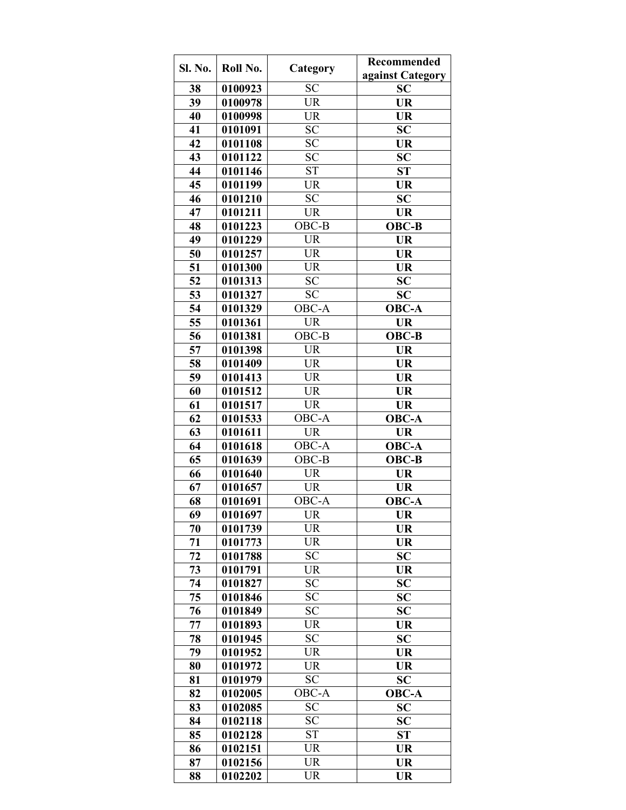| Sl. No.         | Roll No. | Category               | Recommended      |
|-----------------|----------|------------------------|------------------|
|                 |          |                        | against Category |
| 38              | 0100923  | <b>SC</b>              | SC               |
| 39              | 0100978  | <b>UR</b>              | <b>UR</b>        |
| 40              | 0100998  | <b>UR</b>              | <b>UR</b>        |
| 41              | 0101091  | <b>SC</b>              | <b>SC</b>        |
| 42              | 0101108  | <b>SC</b>              | <b>UR</b>        |
| 43              | 0101122  | <b>SC</b>              | SC               |
| 44              | 0101146  | <b>ST</b>              | <b>ST</b>        |
| 45              | 0101199  | <b>UR</b>              | <b>UR</b>        |
| 46              | 0101210  | <b>SC</b>              | SC               |
| 47              | 0101211  | <b>UR</b>              | <b>UR</b>        |
| 48              | 0101223  | OBC-B                  | OBC-B            |
| 49              | 0101229  | <b>UR</b>              | <b>UR</b>        |
| 50              | 0101257  | <b>UR</b>              | <b>UR</b>        |
| 51              | 0101300  | <b>UR</b>              | <b>UR</b>        |
| 52              | 0101313  | <b>SC</b>              | <b>SC</b>        |
| 53              | 0101327  | <b>SC</b>              | <b>SC</b>        |
| 54              | 0101329  | OBC-A                  | <b>OBC-A</b>     |
| 55              | 0101361  | $\overline{\text{UR}}$ | <b>UR</b>        |
| $\overline{56}$ | 0101381  | OBC-B                  | <b>OBC-B</b>     |
| 57              | 0101398  | <b>UR</b>              | <b>UR</b>        |
| 58              | 0101409  | <b>UR</b>              | <b>UR</b>        |
| 59              | 0101413  | <b>UR</b>              | <b>UR</b>        |
| 60              | 0101512  | <b>UR</b>              | <b>UR</b>        |
| 61              | 0101517  | <b>UR</b>              | <b>UR</b>        |
| 62              | 0101533  | OBC-A                  | <b>OBC-A</b>     |
| 63              | 0101611  | <b>UR</b>              | <b>UR</b>        |
| 64              | 0101618  | OBC-A                  | <b>OBC-A</b>     |
| 65              | 0101639  | OBC-B                  | OBC-B            |
| 66              | 0101640  | <b>UR</b>              | <b>UR</b>        |
| 67              | 0101657  | <b>UR</b>              | <b>UR</b>        |
| 68              | 0101691  | OBC-A                  | $OBC-A$          |
| 69              | 0101697  | <b>UR</b>              | <b>UR</b>        |
| 70              | 0101739  | UR                     | UR               |
| 71              | 0101773  | <b>UR</b>              | <b>UR</b>        |
| 72              | 0101788  | <b>SC</b>              | <b>SC</b>        |
| 73              | 0101791  | UR                     | UR               |
| 74              | 0101827  | <b>SC</b>              | <b>SC</b>        |
| 75              | 0101846  | <b>SC</b>              | <b>SC</b>        |
| 76              | 0101849  | <b>SC</b>              | <b>SC</b>        |
| 77              | 0101893  | UR                     | UR               |
| 78              | 0101945  | <b>SC</b>              | <b>SC</b>        |
| 79              | 0101952  | <b>UR</b>              | <b>UR</b>        |
| 80              | 0101972  | <b>UR</b>              | <b>UR</b>        |
| 81              | 0101979  | <b>SC</b>              | <b>SC</b>        |
| 82              | 0102005  | OBC-A                  | <b>OBC-A</b>     |
| 83              | 0102085  | <b>SC</b>              | <b>SC</b>        |
| 84              | 0102118  | <b>SC</b>              | <b>SC</b>        |
| 85              | 0102128  | <b>ST</b>              | ST               |
| 86              | 0102151  | <b>UR</b>              | UR               |
| 87              | 0102156  | <b>UR</b>              | <b>UR</b>        |
| 88              | 0102202  | <b>UR</b>              | <b>UR</b>        |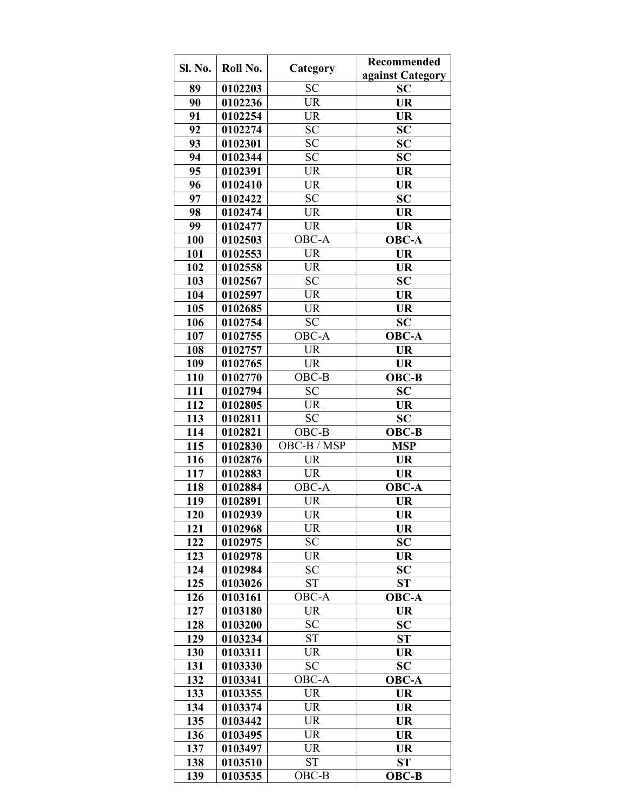| Sl. No. | Roll No. | Category               | Recommended      |
|---------|----------|------------------------|------------------|
|         |          |                        | against Category |
| 89      | 0102203  | <b>SC</b>              | <b>SC</b>        |
| 90      | 0102236  | <b>UR</b>              | <b>UR</b>        |
| 91      | 0102254  | <b>UR</b>              | <b>UR</b>        |
| 92      | 0102274  | <b>SC</b>              | <b>SC</b>        |
| 93      | 0102301  | <b>SC</b>              | SC               |
| 94      | 0102344  | $\overline{SC}$        | <b>SC</b>        |
| 95      | 0102391  | <b>UR</b>              | <b>UR</b>        |
| 96      | 0102410  | <b>UR</b>              | <b>UR</b>        |
| 97      | 0102422  | <b>SC</b>              | <b>SC</b>        |
| 98      | 0102474  | <b>UR</b>              | <b>UR</b>        |
| 99      | 0102477  | <b>UR</b>              | <b>UR</b>        |
| 100     | 0102503  | OBC-A                  | <b>OBC-A</b>     |
| 101     | 0102553  | <b>UR</b>              | <b>UR</b>        |
| 102     | 0102558  | <b>UR</b>              | <b>UR</b>        |
| 103     | 0102567  | <b>SC</b>              | <b>SC</b>        |
| 104     | 0102597  | <b>UR</b>              | <b>UR</b>        |
| 105     | 0102685  | $\overline{\text{UR}}$ | <b>UR</b>        |
| 106     | 0102754  | SC                     | <b>SC</b>        |
| 107     | 0102755  | OBC-A                  | $OBC-A$          |
| 108     | 0102757  | <b>UR</b>              | UR               |
| 109     | 0102765  | <b>UR</b>              | <b>UR</b>        |
| 110     | 0102770  | OBC-B                  | <b>OBC-B</b>     |
| 111     | 0102794  | <b>SC</b>              | <b>SC</b>        |
| 112     | 0102805  | <b>UR</b>              | UR               |
| 113     | 0102811  | <b>SC</b>              | <b>SC</b>        |
| 114     | 0102821  | $OBC-B$                | <b>OBC-B</b>     |
| 115     | 0102830  | OBC-B / MSP            | <b>MSP</b>       |
| 116     | 0102876  | <b>UR</b>              | <b>UR</b>        |
| 117     | 0102883  | <b>UR</b>              | <b>UR</b>        |
| 118     | 0102884  | $OBC-A$                | <b>OBC-A</b>     |
| 119     | 0102891  | <b>UR</b>              | <b>UR</b>        |
| 120     | 0102939  | <b>UR</b>              | <b>UR</b>        |
| 121     | 0102968  | <b>UR</b>              | UR               |
| 122     | 0102975  | <b>SC</b>              | <b>SC</b>        |
| 123     | 0102978  | <b>UR</b>              | <b>UR</b>        |
| 124     | 0102984  | <b>SC</b>              | <b>SC</b>        |
| 125     | 0103026  | <b>ST</b>              | <b>ST</b>        |
| 126     | 0103161  | OBC-A                  | <b>OBC-A</b>     |
| 127     | 0103180  | <b>UR</b>              | <b>UR</b>        |
| 128     | 0103200  | <b>SC</b>              | <b>SC</b>        |
| 129     | 0103234  | <b>ST</b>              | <b>ST</b>        |
| 130     | 0103311  | <b>UR</b>              | <b>UR</b>        |
| 131     | 0103330  | <b>SC</b>              | <b>SC</b>        |
| 132     | 0103341  | OBC-A                  | OBC-A            |
| 133     | 0103355  | <b>UR</b>              | <b>UR</b>        |
| 134     | 0103374  | <b>UR</b>              | <b>UR</b>        |
| 135     | 0103442  | <b>UR</b>              | <b>UR</b>        |
| 136     | 0103495  | <b>UR</b>              | <b>UR</b>        |
| 137     | 0103497  | <b>UR</b>              | <b>UR</b>        |
| 138     | 0103510  | <b>ST</b>              | <b>ST</b>        |
| 139     | 0103535  | OBC-B                  | OBC-B            |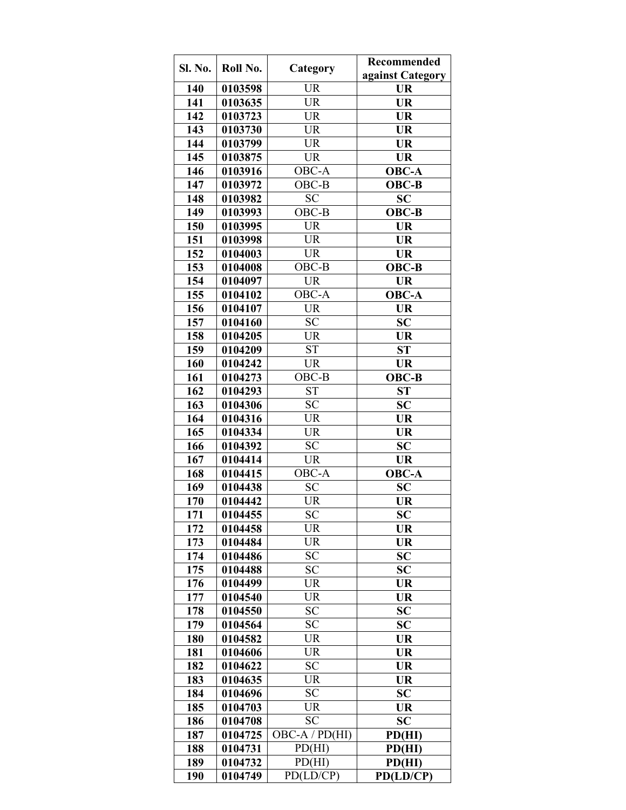| Sl. No. | Roll No. | Category               | <b>Recommended</b> |
|---------|----------|------------------------|--------------------|
|         |          |                        | against Category   |
| 140     | 0103598  | <b>UR</b>              | <b>UR</b>          |
| 141     | 0103635  | <b>UR</b>              | <b>UR</b>          |
| 142     | 0103723  | <b>UR</b>              | <b>UR</b>          |
| 143     | 0103730  | <b>UR</b>              | <b>UR</b>          |
| 144     | 0103799  | <b>UR</b>              | <b>UR</b>          |
| 145     | 0103875  | <b>UR</b>              | <b>UR</b>          |
| 146     | 0103916  | OBC-A                  | <b>OBC-A</b>       |
| 147     | 0103972  | OBC-B                  | <b>OBC-B</b>       |
| 148     | 0103982  | <b>SC</b>              | <b>SC</b>          |
| 149     | 0103993  | OBC-B                  | OBC-B              |
| 150     | 0103995  | <b>UR</b>              | <b>UR</b>          |
| 151     | 0103998  | <b>UR</b>              | <b>UR</b>          |
| 152     | 0104003  | <b>UR</b>              | <b>UR</b>          |
| 153     | 0104008  | OBC-B                  | OBC-B              |
| 154     | 0104097  | <b>UR</b>              | <b>UR</b>          |
| 155     | 0104102  | OBC-A                  | <b>OBC-A</b>       |
| 156     | 0104107  | $\overline{\text{UR}}$ | <b>UR</b>          |
| 157     | 0104160  | <b>SC</b>              | <b>SC</b>          |
| 158     | 0104205  | <b>UR</b>              | UR                 |
| 159     | 0104209  | <b>ST</b>              | <b>ST</b>          |
| 160     | 0104242  | <b>UR</b>              | <b>UR</b>          |
| 161     | 0104273  | OBC-B                  | <b>OBC-B</b>       |
| 162     | 0104293  | <b>ST</b>              | ST                 |
| 163     | 0104306  | <b>SC</b>              | <b>SC</b>          |
| 164     | 0104316  | <b>UR</b>              | <b>UR</b>          |
| 165     | 0104334  | <b>UR</b>              | <b>UR</b>          |
| 166     | 0104392  | <b>SC</b>              | <b>SC</b>          |
| 167     | 0104414  | <b>UR</b>              | <b>UR</b>          |
| 168     | 0104415  | OBC-A                  | <b>OBC-A</b>       |
| 169     | 0104438  | <b>SC</b>              | <b>SC</b>          |
| 170     | 0104442  | UR                     | <b>UR</b>          |
| 171     | 0104455  | <b>SC</b>              | <b>SC</b>          |
| 172     | 0104458  | UR                     | UR                 |
| 173     | 0104484  | <b>UR</b>              | <b>UR</b>          |
| 174     | 0104486  | <b>SC</b>              | <b>SC</b>          |
| 175     | 0104488  | <b>SC</b>              | <b>SC</b>          |
| 176     | 0104499  | UR                     | UR                 |
| 177     | 0104540  | <b>UR</b>              | <b>UR</b>          |
| 178     | 0104550  | <b>SC</b>              | <b>SC</b>          |
| 179     | 0104564  | <b>SC</b>              | SC                 |
| 180     | 0104582  | <b>UR</b>              | UR                 |
| 181     | 0104606  | <b>UR</b>              | <b>UR</b>          |
| 182     | 0104622  | <b>SC</b>              | <b>UR</b>          |
| 183     | 0104635  | UR                     | <b>UR</b>          |
| 184     | 0104696  | <b>SC</b>              | <b>SC</b>          |
| 185     | 0104703  | <b>UR</b>              | <b>UR</b>          |
| 186     | 0104708  | <b>SC</b>              | <b>SC</b>          |
| 187     | 0104725  | $OBC-A / PD(HI)$       | PD(HI)             |
| 188     | 0104731  | PD(HI)                 | PD(HI)             |
| 189     | 0104732  | PD(HI)                 | PD(HI)             |
| 190     | 0104749  | PD(LD/CP)              | PD(LD/CP)          |